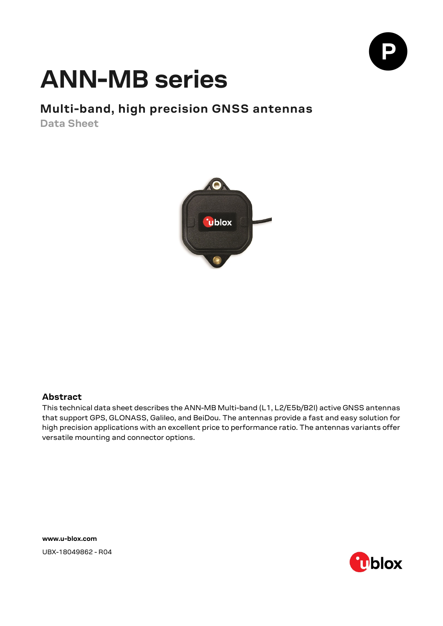

# **ANN-MB series**

### **Multi-band, high precision GNSS antennas**

**Data Sheet**



### **Abstract**

This technical data sheet describes the ANN-MB Multi-band (L1, L2/E5b/B2I) active GNSS antennas that support GPS, GLONASS, Galileo, and BeiDou. The antennas provide a fast and easy solution for high precision applications with an excellent price to performance ratio. The antennas variants offer versatile mounting and connector options.

**[www.u-blox.com](http://www.u-blox.com/)** UBX-18049862 - R04

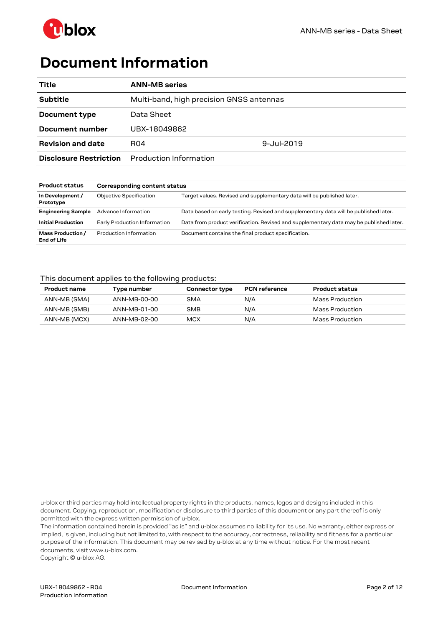

## <span id="page-1-0"></span>**Document Information**

| Title                         | <b>ANN-MB series</b>                     |            |
|-------------------------------|------------------------------------------|------------|
| <b>Subtitle</b>               | Multi-band, high precision GNSS antennas |            |
| Document type                 | Data Sheet                               |            |
| Document number               | UBX-18049862                             |            |
| <b>Revision and date</b>      | R04                                      | 9-Jul-2019 |
| <b>Disclosure Restriction</b> | Production Information                   |            |

| <b>Product status</b>                   | <b>Corresponding content status</b> |                                                                                        |  |  |
|-----------------------------------------|-------------------------------------|----------------------------------------------------------------------------------------|--|--|
| In Development /<br>Prototype           | <b>Objective Specification</b>      | Target values. Revised and supplementary data will be published later.                 |  |  |
| <b>Engineering Sample</b>               | Advance Information                 | Data based on early testing. Revised and supplementary data will be published later.   |  |  |
| <b>Initial Production</b>               | Early Production Information        | Data from product verification. Revised and supplementary data may be published later. |  |  |
| Mass Production /<br><b>End of Life</b> | Production Information              | Document contains the final product specification.                                     |  |  |

### This document applies to the following products:

| <b>Product name</b> | Type number  | <b>Connector type</b> | <b>PCN reference</b> | <b>Product status</b> |
|---------------------|--------------|-----------------------|----------------------|-----------------------|
| ANN-MB (SMA)        | ANN-MB-00-00 | SMA                   | N/A                  | Mass Production       |
| ANN-MB (SMB)        | ANN-MB-01-00 | SMB                   | N/A                  | Mass Production       |
| ANN-MB (MCX)        | ANN-MB-02-00 | <b>MCX</b>            | N/A                  | Mass Production       |

u-blox or third parties may hold intellectual property rights in the products, names, logos and designs included in this document. Copying, reproduction, modification or disclosure to third parties of this document or any part thereof is only permitted with the express written permission of u-blox.

The information contained herein is provided "as is" and u-blox assumes no liability for its use. No warranty, either express or implied, is given, including but not limited to, with respect to the accuracy, correctness, reliability and fitness for a particular purpose of the information. This document may be revised by u-blox at any time without notice. For the most recent documents, visit www.u-blox.com.

Copyright © u-blox AG.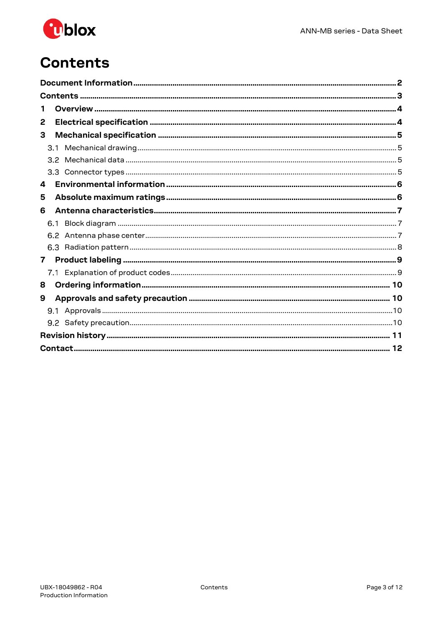

## <span id="page-2-0"></span>**Contents**

| Т.               |  |
|------------------|--|
| 2                |  |
| 3                |  |
| 3.1              |  |
| $3.2^{\circ}$    |  |
| 3.3 <sup>°</sup> |  |
| 4                |  |
| 5                |  |
| 6                |  |
| 6.1              |  |
|                  |  |
|                  |  |
| $\mathbf{7}$     |  |
|                  |  |
| 8                |  |
| 9                |  |
|                  |  |
|                  |  |
|                  |  |
|                  |  |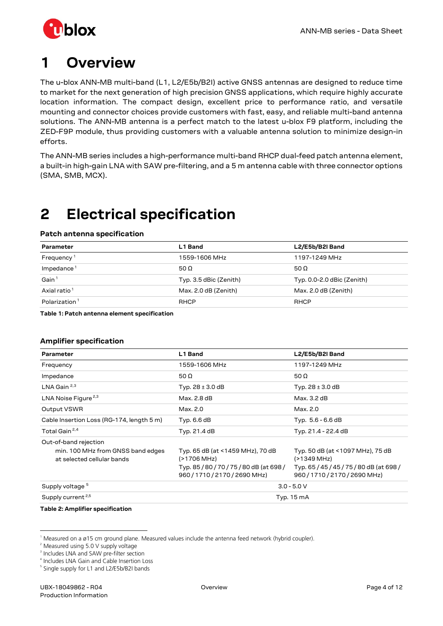

## <span id="page-3-0"></span>**1 Overview**

The u-blox ANN-MB multi-band (L1, L2/E5b/B2I) active GNSS antennas are designed to reduce time to market for the next generation of high precision GNSS applications, which require highly accurate location information. The compact design, excellent price to performance ratio, and versatile mounting and connector choices provide customers with fast, easy, and reliable multi-band antenna solutions. The ANN-MB antenna is a perfect match to the latest u-blox F9 platform, including the ZED-F9P module, thus providing customers with a valuable antenna solution to minimize design-in efforts.

The ANN-MB series includes a high-performance multi-band RHCP dual-feed patch antenna element, a built-in high-gain LNA with SAW pre-filtering, and a 5 m antenna cable with three connector options (SMA, SMB, MCX).

## <span id="page-3-1"></span>**2 Electrical specification**

### **Patch antenna specification**

| Parameter                 | L1 Band                | L2/E5b/B2I Band            |
|---------------------------|------------------------|----------------------------|
| Frequency <sup>1</sup>    | 1559-1606 MHz          | 1197-1249 MHz              |
| $Im$ pedance $1$          | 50 $\Omega$            | 50 $\Omega$                |
| Gain $1$                  | Typ. 3.5 dBic (Zenith) | Typ. 0.0-2.0 dBic (Zenith) |
| Axial ratio <sup>1</sup>  | Max. 2.0 dB (Zenith)   | Max. 2.0 dB (Zenith)       |
| Polarization <sup>1</sup> | <b>RHCP</b>            | <b>RHCP</b>                |

<span id="page-3-7"></span>**Table 1: Patch antenna element specification**

### **Amplifier specification**

| Parameter                                                                                | L1 Band                                                                                                       | L2/E5b/B2I Band                                                                                              |  |
|------------------------------------------------------------------------------------------|---------------------------------------------------------------------------------------------------------------|--------------------------------------------------------------------------------------------------------------|--|
| Frequency                                                                                | 1559-1606 MHz                                                                                                 | 1197-1249 MHz                                                                                                |  |
| Impedance                                                                                | 50 $\Omega$                                                                                                   | 50 $\Omega$                                                                                                  |  |
| LNA Gain $2,3$                                                                           | Typ. $28 \pm 3.0$ dB                                                                                          | Typ. $28 \pm 3.0$ dB                                                                                         |  |
| LNA Noise Figure <sup>2,3</sup>                                                          | Max. 2.8 dB                                                                                                   | Max. 3.2 dB                                                                                                  |  |
| Output VSWR                                                                              | Max. 2.0                                                                                                      | Max. 2.0                                                                                                     |  |
| Cable Insertion Loss (RG-174, length 5 m)                                                | Typ. 6.6 dB                                                                                                   | Typ. $5.6 - 6.6$ dB                                                                                          |  |
| Total Gain <sup>2,4</sup>                                                                | Typ. 21.4 dB                                                                                                  | Typ. 21.4 - 22.4 dB                                                                                          |  |
| Out-of-band rejection<br>min. 100 MHz from GNSS band edges<br>at selected cellular bands | Typ. 65 dB (at <1459 MHz), 70 dB<br>(>1706 MHz)<br>Typ. 85/80/70/75/80 dB (at 698/<br>960/1710/2170/2690 MHz) | Typ. 50 dB (at <1097 MHz), 75 dB<br>(>1349 MHz)<br>Typ. 65/45/45/75/80dB (at 698/<br>960/1710/2170/2690 MHz) |  |
| Supply voltage <sup>5</sup>                                                              | $3.0 - 5.0 V$                                                                                                 |                                                                                                              |  |
| Supply current <sup>2,5</sup>                                                            | Typ. 15 mA                                                                                                    |                                                                                                              |  |

#### <span id="page-3-8"></span>**Table 2: Amplifier specification**

:

<span id="page-3-3"></span><span id="page-3-2"></span><sup>1</sup> Measured on a ø15 cm ground plane. Measured values include the antenna feed network (hybrid coupler).

<sup>&</sup>lt;sup>2</sup> Measured using 5.0 V supply voltage

<span id="page-3-4"></span><sup>3</sup> Includes LNA and SAW pre-filter section

<span id="page-3-5"></span><sup>4</sup> Includes LNA Gain and Cable Insertion Loss

<span id="page-3-6"></span><sup>&</sup>lt;sup>5</sup> Single supply for L1 and L2/E5b/B2I bands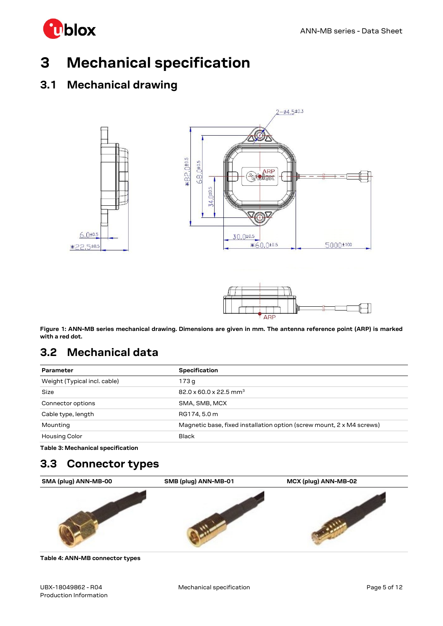

## <span id="page-4-0"></span>**3 Mechanical specification**

### <span id="page-4-1"></span>**3.1 Mechanical drawing**





<span id="page-4-4"></span>**Figure 1: ANN-MB series mechanical drawing. Dimensions are given in mm. The antenna reference point (ARP) is marked with a red dot.**

### <span id="page-4-2"></span>**3.2 Mechanical data**

| Parameter                    | <b>Specification</b>                                                  |
|------------------------------|-----------------------------------------------------------------------|
| Weight (Typical incl. cable) | 173 a                                                                 |
| <b>Size</b>                  | $82.0 \times 60.0 \times 22.5$ mm <sup>3</sup>                        |
| Connector options            | SMA, SMB, MCX                                                         |
| Cable type, length           | RG174, 5.0 m                                                          |
| Mounting                     | Magnetic base, fixed installation option (screw mount, 2 x M4 screws) |
| <b>Housing Color</b>         | <b>Black</b>                                                          |

<span id="page-4-5"></span>**Table 3: Mechanical specification**

### <span id="page-4-3"></span>**3.3 Connector types**



<span id="page-4-6"></span>**Table 4: ANN-MB connector types**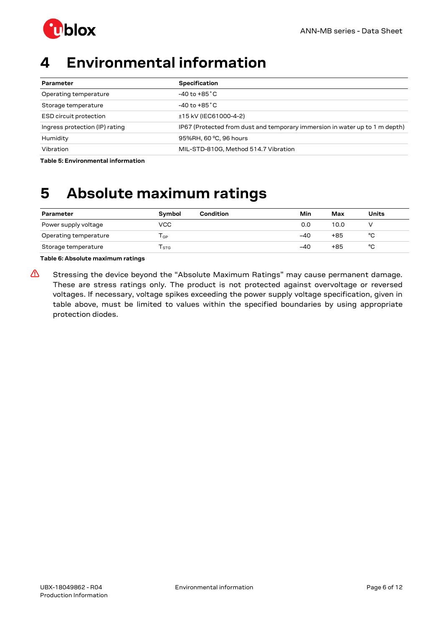

## <span id="page-5-0"></span>**4 Environmental information**

| Parameter                      | <b>Specification</b>                                                        |
|--------------------------------|-----------------------------------------------------------------------------|
| Operating temperature          | $-40$ to $+85\degree$ C                                                     |
| Storage temperature            | $-40$ to $+85\degree$ C                                                     |
| <b>ESD circuit protection</b>  | ±15 kV (IEC61000-4-2)                                                       |
| Ingress protection (IP) rating | IP67 (Protected from dust and temporary immersion in water up to 1 m depth) |
| Humidity                       | 95%RH, 60 °C, 96 hours                                                      |
| Vibration                      | MIL-STD-810G, Method 514.7 Vibration                                        |

<span id="page-5-2"></span>**Table 5: Environmental information**

## <span id="page-5-1"></span>**5 Absolute maximum ratings**

| <b>Parameter</b>      | <b>Symbol</b> | Condition | Min   | Max  | <b>Units</b> |
|-----------------------|---------------|-----------|-------|------|--------------|
| Power supply voltage  | VCC           |           | 0.0   | 10.0 |              |
| Operating temperature | l GP          |           | $-40$ | +85  | °C           |
| Storage temperature   | <b>STG</b>    |           | -40   | +85  | °C           |

**Table 6: Absolute maximum ratings**

**⚠** Stressing the device beyond the "Absolute Maximum Ratings" may cause permanent damage. These are stress ratings only. The product is not protected against overvoltage or reversed voltages. If necessary, voltage spikes exceeding the power supply voltage specification, given in table above, must be limited to values within the specified boundaries by using appropriate protection diodes.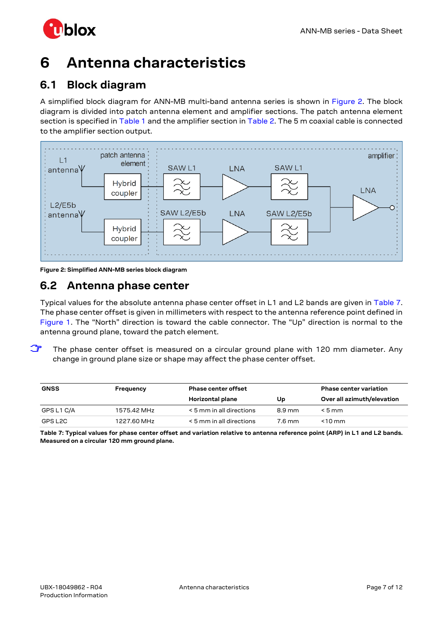

## <span id="page-6-0"></span>**6 Antenna characteristics**

### <span id="page-6-1"></span>**6.1 Block diagram**

A simplified block diagram for ANN-MB multi-band antenna series is shown in [Figure 2.](#page-6-3) The block diagram is divided into patch antenna element and amplifier sections. The patch antenna element section is specified in [Table 1](#page-3-7) and the amplifier section in [Table 2.](#page-3-8) The 5 m coaxial cable is connected to the amplifier section output.



<span id="page-6-3"></span>**Figure 2: Simplified ANN-MB series block diagram**

### <span id="page-6-2"></span>**6.2 Antenna phase center**

Typical values for the absolute antenna phase center offset in L1 and L2 bands are given in [Table 7.](#page-6-4) The phase center offset is given in millimeters with respect to the antenna reference point defined in [Figure 1.](#page-4-4) The "North" direction is toward the cable connector. The "Up" direction is normal to the antenna ground plane, toward the patch element.

**T** The phase center offset is measured on a circular ground plane with 120 mm diameter. Any change in ground plane size or shape may affect the phase center offset.

| <b>GNSS</b> | Frequency   | <b>Phase center offset</b> |                  | <b>Phase center variation</b> |
|-------------|-------------|----------------------------|------------------|-------------------------------|
|             |             | <b>Horizontal plane</b>    | Up               | Over all azimuth/elevation    |
| GPS L1 C/A  | 1575.42 MHz | < 5 mm in all directions   | $8.9 \text{ mm}$ | $< 5 \,\mathrm{mm}$           |
| GPS L2C     | 1227.60 MHz | < 5 mm in all directions   | 7.6 mm           | $<$ 10 mm                     |

<span id="page-6-4"></span>**Table 7: Typical values for phase center offset and variation relative to antenna reference point (ARP) in L1 and L2 bands. Measured on a circular 120 mm ground plane.**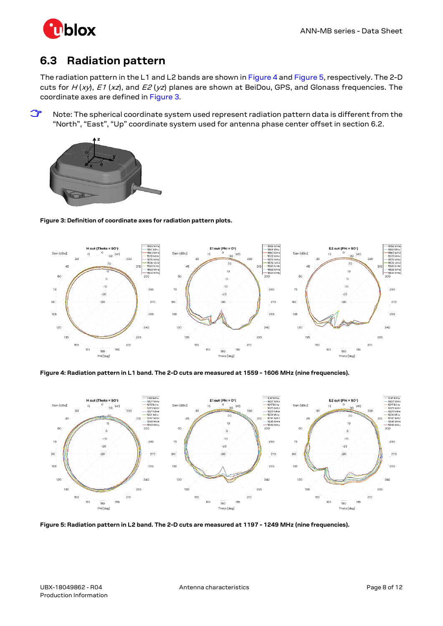

### <span id="page-7-0"></span>**6.3 Radiation pattern**

The radiation pattern in the L1 and L2 bands are shown i[n Figure 4](#page-7-1) an[d Figure 5,](#page-7-2) respectively. The 2-D cuts for  $H(xy)$ , E1 (xz), and E2 (yz) planes are shown at BeiDou, GPS, and Glonass frequencies. The coordinate axes are defined in [Figure 3.](#page-7-3)

**☞** Note: The spherical coordinate system used represent radiation pattern data is different from the "North", "East", "Up" coordinate system used for antenna phase center offset in sectio[n 6.2.](#page-6-2)



### <span id="page-7-3"></span>**Figure 3: Definition of coordinate axes for radiation pattern plots.**



<span id="page-7-1"></span>**Figure 4: Radiation pattern in L1 band. The 2-D cuts are measured at 1559 - 1606 MHz (nine frequencies).**



<span id="page-7-2"></span>**Figure 5: Radiation pattern in L2 band. The 2-D cuts are measured at 1197 - 1249 MHz (nine frequencies).**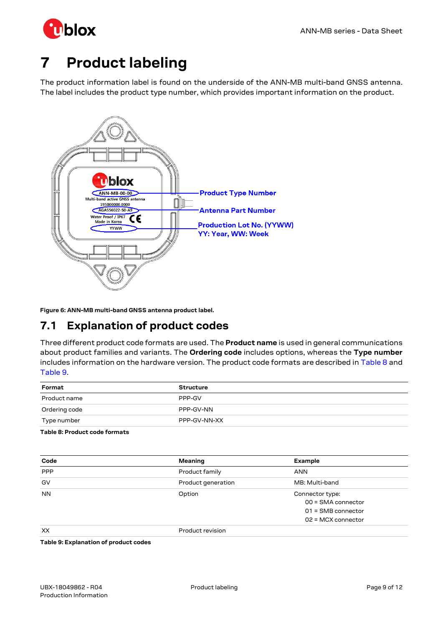

## <span id="page-8-0"></span>**7 Product labeling**

The product information label is found on the underside of the ANN-MB multi-band GNSS antenna. The label includes the product type number, which provides important information on the product.



<span id="page-8-4"></span>**Figure 6: ANN-MB multi-band GNSS antenna product label.**

### <span id="page-8-1"></span>**7.1 Explanation of product codes**

Three different product code formats are used. The **Product name** is used in general communications about product families and variants. The **Ordering code** includes options, whereas the **Type number** includes information on the hardware version. The product code formats are described in [Table 8](#page-8-2) and [Table 9.](#page-8-3)

| Format        | <b>Structure</b> |
|---------------|------------------|
| Product name  | PPP-GV           |
| Ordering code | PPP-GV-NN        |
| Type number   | PPP-GV-NN-XX     |

<span id="page-8-2"></span>**Table 8: Product code formats**

| Code       | Meaning            | Example              |
|------------|--------------------|----------------------|
| <b>PPP</b> | Product family     | <b>ANN</b>           |
| GV         | Product generation | MB: Multi-band       |
| <b>NN</b>  | Option             | Connector type:      |
|            |                    | $00 = SMA$ connector |
|            |                    | $01 =$ SMB connector |
|            |                    | $02$ = MCX connector |
| XX         | Product revision   |                      |

<span id="page-8-3"></span>**Table 9: Explanation of product codes**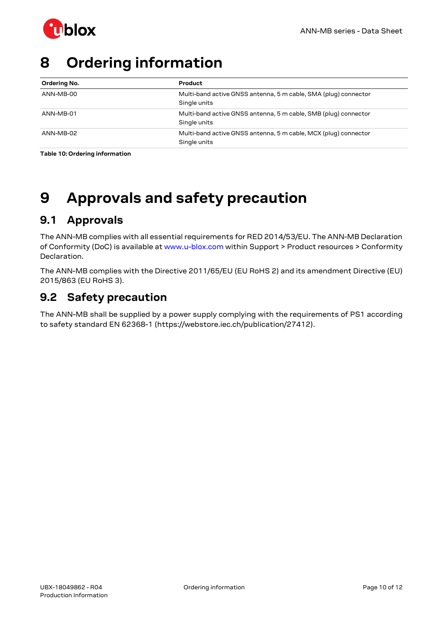

## <span id="page-9-0"></span>**8 Ordering information**

| Ordering No. | Product                                                                         |
|--------------|---------------------------------------------------------------------------------|
| ANN-MB-00    | Multi-band active GNSS antenna, 5 m cable, SMA (plug) connector<br>Single units |
| ANN-MB-01    | Multi-band active GNSS antenna, 5 m cable, SMB (plug) connector<br>Single units |
| ANN-MB-02    | Multi-band active GNSS antenna, 5 m cable, MCX (plug) connector<br>Single units |

<span id="page-9-4"></span>**Table 10: Ordering information**

## <span id="page-9-1"></span>**9 Approvals and safety precaution**

### <span id="page-9-2"></span>**9.1 Approvals**

The ANN-MB complies with all essential requirements for RED 2014/53/EU. The ANN-MB Declaration of Conformity (DoC) is available at www.u-blox.com within Support > Product resources > Conformity Declaration.

The ANN-MB complies with the Directive 2011/65/EU (EU RoHS 2) and its amendment Directive (EU) 2015/863 (EU RoHS 3).

### <span id="page-9-3"></span>**9.2 Safety precaution**

The ANN-MB shall be supplied by a power supply complying with the requirements of PS1 according to safety standard EN 62368-1 (https://webstore.iec.ch/publication/27412).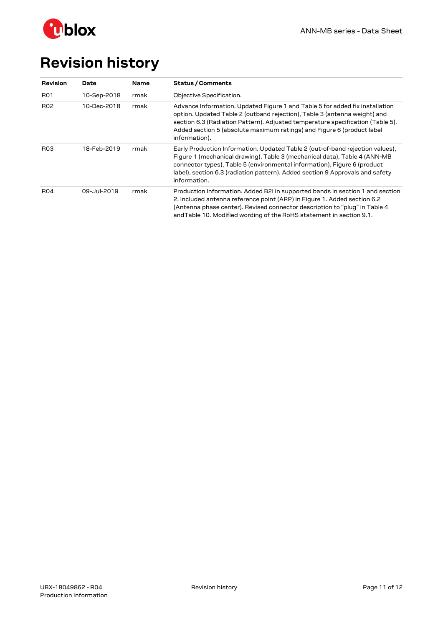

# <span id="page-10-0"></span>**Revision history**

| Revision        | Date        | <b>Name</b> | <b>Status / Comments</b>                                                                                                                                                                                                                                                                                                                |
|-----------------|-------------|-------------|-----------------------------------------------------------------------------------------------------------------------------------------------------------------------------------------------------------------------------------------------------------------------------------------------------------------------------------------|
| <b>R01</b>      | 10-Sep-2018 | rmak        | Objective Specification.                                                                                                                                                                                                                                                                                                                |
| <b>R02</b>      | 10-Dec-2018 | rmak        | Advance Information. Updated Figure 1 and Table 5 for added fix installation<br>option. Updated Table 2 (outband rejection), Table 3 (antenna weight) and<br>section 6.3 (Radiation Pattern). Adjusted temperature specification (Table 5).<br>Added section 5 (absolute maximum ratings) and Figure 6 (product label<br>information).  |
| R <sub>03</sub> | 18-Feb-2019 | rmak        | Early Production Information. Updated Table 2 (out-of-band rejection values),<br>Figure 1 (mechanical drawing), Table 3 (mechanical data), Table 4 (ANN-MB<br>connector types), Table 5 (environmental information), Figure 6 (product<br>label), section 6.3 (radiation pattern). Added section 9 Approvals and safety<br>information. |
| <b>R04</b>      | 09-Jul-2019 | rmak        | Production Information. Added B2I in supported bands in section 1 and section<br>2. Included antenna reference point (ARP) in Figure 1. Added section 6.2<br>(Antenna phase center). Revised connector description to "plug" in Table 4<br>and Table 10. Modified wording of the RoHS statement in section 9.1.                         |